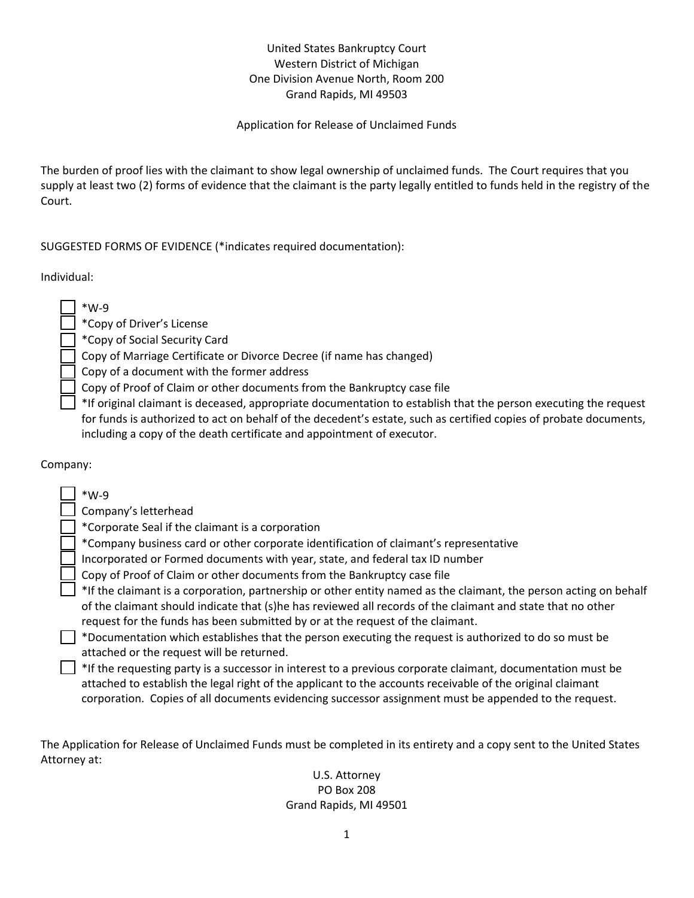## United States Bankruptcy Court Western District of Michigan One Division Avenue North, Room 200 Grand Rapids, MI 49503

#### Application for Release of Unclaimed Funds

The burden of proof lies with the claimant to show legal ownership of unclaimed funds. The Court requires that you supply at least two (2) forms of evidence that the claimant is the party legally entitled to funds held in the registry of the Court.

### SUGGESTED FORMS OF EVIDENCE (\*indicates required documentation):

Individual:

| $*W-9$                                                                    |
|---------------------------------------------------------------------------|
| *Copy of Driver's License                                                 |
| *Copy of Social Security Card                                             |
| Copy of Marriage Certificate or Divorce Decree (if name has changed)      |
| Copy of a document with the former address                                |
| Copy of Proof of Claim or other documents from the Bankruptcy case file   |
| *If original claimant is deceased, appropriate documentation to establish |

iblish that the person executing the request for funds is authorized to act on behalf of the decedent's estate, such as certified copies of probate documents, including a copy of the death certificate and appointment of executor.

#### Company:

| $*W-9$                                                                                                            |
|-------------------------------------------------------------------------------------------------------------------|
| Company's letterhead                                                                                              |
| *Corporate Seal if the claimant is a corporation                                                                  |
| *Company business card or other corporate identification of claimant's representative                             |
| Incorporated or Formed documents with year, state, and federal tax ID number                                      |
| Copy of Proof of Claim or other documents from the Bankruptcy case file                                           |
| *If the claimant is a corporation, partnership or other entity named as the claimant, the person acting on behalf |
| of the claimant should indicate that (s)he has reviewed all records of the claimant and state that no other       |
| request for the funds has been submitted by or at the request of the claimant.                                    |
| *Documentation which establishes that the person executing the request is authorized to do so must be             |
| attached or the request will be returned.                                                                         |
| *If the requesting party is a successor in interest to a previous corporate claimant, documentation must be       |
| attached to establish the legal right of the applicant to the accounts receivable of the original claimant        |
| corporation. Copies of all documents evidencing successor assignment must be appended to the request.             |

The Application for Release of Unclaimed Funds must be completed in its entirety and a copy sent to the United States Attorney at:

#### U.S. Attorney PO Box 208 Grand Rapids, MI 49501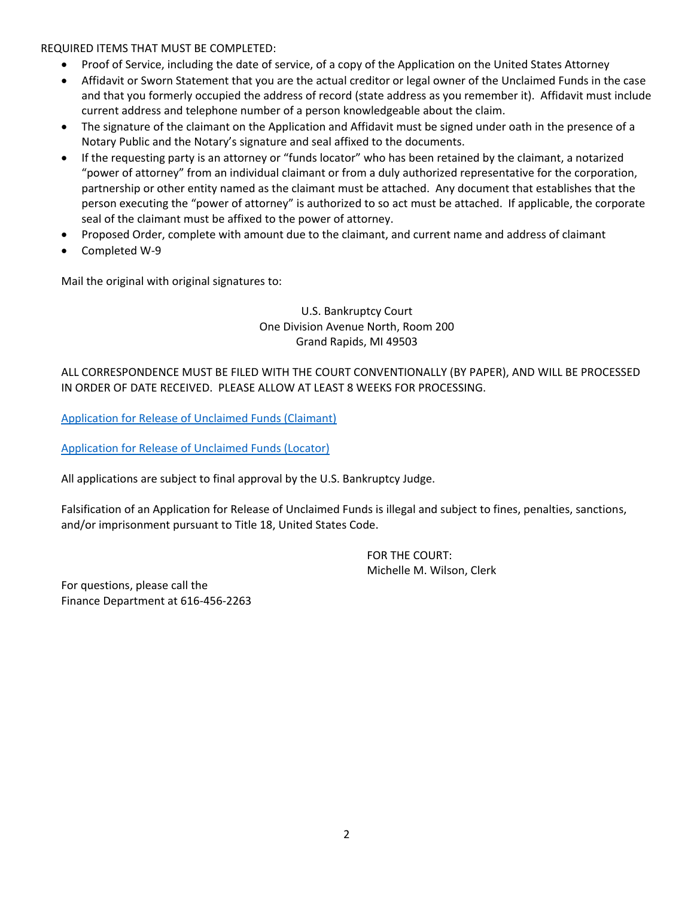REQUIRED ITEMS THAT MUST BE COMPLETED:

- Proof of Service, including the date of service, of a copy of the Application on the United States Attorney
- Affidavit or Sworn Statement that you are the actual creditor or legal owner of the Unclaimed Funds in the case and that you formerly occupied the address of record (state address as you remember it). Affidavit must include current address and telephone number of a person knowledgeable about the claim.
- The signature of the claimant on the Application and Affidavit must be signed under oath in the presence of a Notary Public and the Notary's signature and seal affixed to the documents.
- If the requesting party is an attorney or "funds locator" who has been retained by the claimant, a notarized "power of attorney" from an individual claimant or from a duly authorized representative for the corporation, partnership or other entity named as the claimant must be attached. Any document that establishes that the person executing the "power of attorney" is authorized to so act must be attached. If applicable, the corporate seal of the claimant must be affixed to the power of attorney.
- Proposed Order, complete with amount due to the claimant, and current name and address of claimant
- Completed W-9

Mail the original with original signatures to:

#### U.S. Bankruptcy Court One Division Avenue North, Room 200 Grand Rapids, MI 49503

#### ALL CORRESPONDENCE MUST BE FILED WITH THE COURT CONVENTIONALLY (BY PAPER), AND WILL BE PROCESSED IN ORDER OF DATE RECEIVED. PLEASE ALLOW AT LEAST 8 WEEKS FOR PROCESSING.

[Application for Release of Unclaimed Funds \(Claimant\)](http://www.miwb.uscourts.gov/forms/application-release-unclaimed-funds-claimant)

[Application for Release of Unclaimed Funds \(Locator\)](http://www.miwb.uscourts.gov/forms/application-release-unclaimed-funds-locator)

All applications are subject to final approval by the U.S. Bankruptcy Judge.

Falsification of an Application for Release of Unclaimed Funds is illegal and subject to fines, penalties, sanctions, and/or imprisonment pursuant to Title 18, United States Code.

> FOR THE COURT: Michelle M. Wilson, Clerk

For questions, please call the Finance Department at 616-456-2263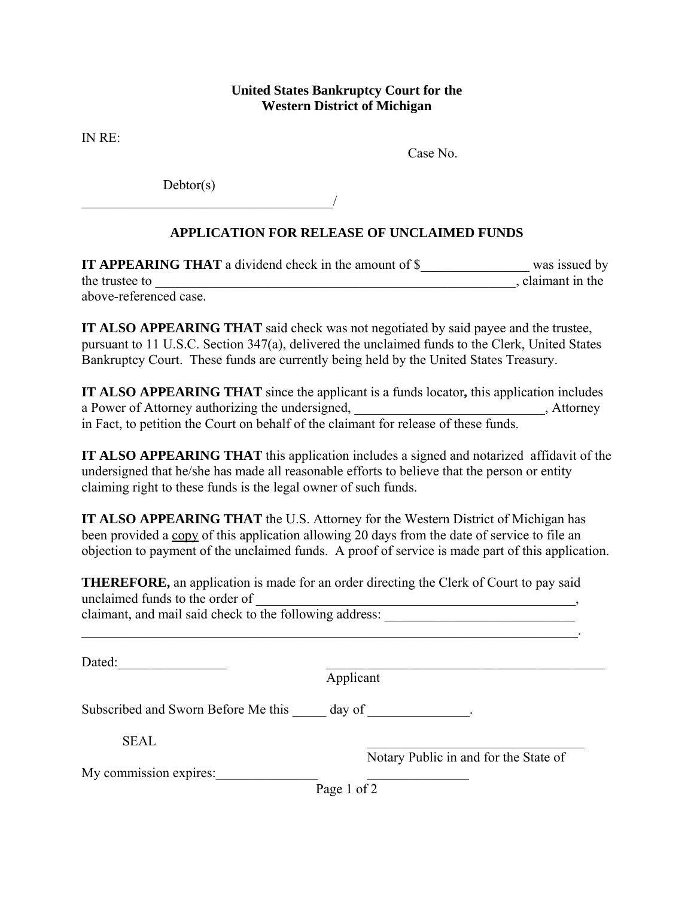## **United States Bankruptcy Court for the Western District of Michigan**

IN RE:

Case No.

Debtor(s)

 $\overline{\phantom{a}}$ 

# **APPLICATION FOR RELEASE OF UNCLAIMED FUNDS**

| <b>IT APPEARING THAT</b> a dividend check in the amount of \$ | was issued by   |
|---------------------------------------------------------------|-----------------|
| the trustee to                                                | claimant in the |
| above-referenced case.                                        |                 |

**IT ALSO APPEARING THAT** said check was not negotiated by said payee and the trustee, pursuant to 11 U.S.C. Section 347(a), delivered the unclaimed funds to the Clerk, United States Bankruptcy Court. These funds are currently being held by the United States Treasury.

**IT ALSO APPEARING THAT** since the applicant is a funds locator**,** this application includes a Power of Attorney authorizing the undersigned, \_\_\_\_\_\_\_\_\_\_\_\_\_\_\_\_\_\_\_\_\_\_\_\_\_\_\_\_, Attorney in Fact, to petition the Court on behalf of the claimant for release of these funds.

**IT ALSO APPEARING THAT** this application includes a signed and notarized affidavit of the undersigned that he/she has made all reasonable efforts to believe that the person or entity claiming right to these funds is the legal owner of such funds.

**IT ALSO APPEARING THAT** the U.S. Attorney for the Western District of Michigan has been provided a copy of this application allowing 20 days from the date of service to file an objection to payment of the unclaimed funds. A proof of service is made part of this application.

**THEREFORE,** an application is made for an order directing the Clerk of Court to pay said unclaimed funds to the order of

|  | claimant, and mail said check to the following address: |  |
|--|---------------------------------------------------------|--|
|  |                                                         |  |

Dated:

Applicant

Subscribed and Sworn Before Me this \_\_\_\_\_ day of \_\_\_\_\_\_\_\_\_\_\_\_\_.

 $SEAL$   $\qquad \qquad \qquad$ 

Notary Public in and for the State of

My commission expires:

Page 1 of  $\overline{2}$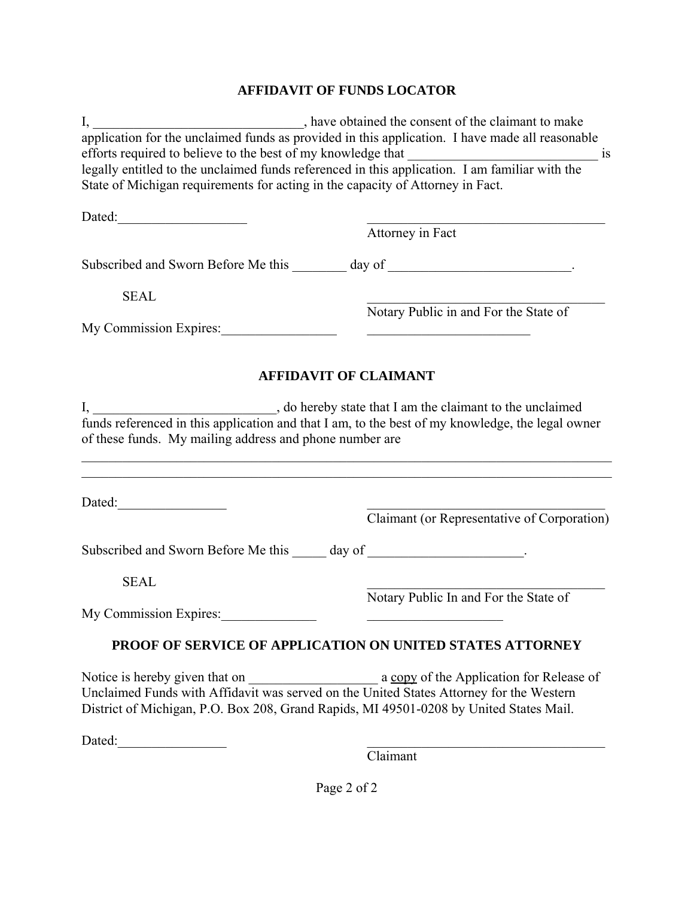# **AFFIDAVIT OF FUNDS LOCATOR**

|                                                                                                                                                                                  | efforts required to believe to the best of my knowledge that when a single is legally entitled to the unclaimed funds referenced in this application. I am familiar with the |  |  |  |  |
|----------------------------------------------------------------------------------------------------------------------------------------------------------------------------------|------------------------------------------------------------------------------------------------------------------------------------------------------------------------------|--|--|--|--|
| State of Michigan requirements for acting in the capacity of Attorney in Fact.                                                                                                   |                                                                                                                                                                              |  |  |  |  |
|                                                                                                                                                                                  |                                                                                                                                                                              |  |  |  |  |
|                                                                                                                                                                                  | Attorney in Fact                                                                                                                                                             |  |  |  |  |
|                                                                                                                                                                                  | Subscribed and Sworn Before Me this ________ day of ____________________________.                                                                                            |  |  |  |  |
| <b>SEAL</b>                                                                                                                                                                      |                                                                                                                                                                              |  |  |  |  |
|                                                                                                                                                                                  | Notary Public in and For the State of                                                                                                                                        |  |  |  |  |
| My Commission Expires:                                                                                                                                                           |                                                                                                                                                                              |  |  |  |  |
|                                                                                                                                                                                  | <b>AFFIDAVIT OF CLAIMANT</b>                                                                                                                                                 |  |  |  |  |
|                                                                                                                                                                                  |                                                                                                                                                                              |  |  |  |  |
|                                                                                                                                                                                  |                                                                                                                                                                              |  |  |  |  |
| of these funds. My mailing address and phone number are                                                                                                                          |                                                                                                                                                                              |  |  |  |  |
|                                                                                                                                                                                  |                                                                                                                                                                              |  |  |  |  |
|                                                                                                                                                                                  |                                                                                                                                                                              |  |  |  |  |
|                                                                                                                                                                                  |                                                                                                                                                                              |  |  |  |  |
|                                                                                                                                                                                  | Claimant (or Representative of Corporation)                                                                                                                                  |  |  |  |  |
| Subscribed and Sworn Before Me this ______ day of ______________________________.                                                                                                |                                                                                                                                                                              |  |  |  |  |
| <b>SEAL</b>                                                                                                                                                                      |                                                                                                                                                                              |  |  |  |  |
|                                                                                                                                                                                  | Notary Public In and For the State of                                                                                                                                        |  |  |  |  |
| My Commission Expires:                                                                                                                                                           |                                                                                                                                                                              |  |  |  |  |
|                                                                                                                                                                                  | PROOF OF SERVICE OF APPLICATION ON UNITED STATES ATTORNEY                                                                                                                    |  |  |  |  |
|                                                                                                                                                                                  |                                                                                                                                                                              |  |  |  |  |
| Notice is hereby given that on a served on the United States Attorney for the Western<br>Unclaimed Funds with Affidavit was served on the United States Attorney for the Western |                                                                                                                                                                              |  |  |  |  |
|                                                                                                                                                                                  | District of Michigan, P.O. Box 208, Grand Rapids, MI 49501-0208 by United States Mail.                                                                                       |  |  |  |  |
|                                                                                                                                                                                  |                                                                                                                                                                              |  |  |  |  |
|                                                                                                                                                                                  | Claimant                                                                                                                                                                     |  |  |  |  |
|                                                                                                                                                                                  |                                                                                                                                                                              |  |  |  |  |